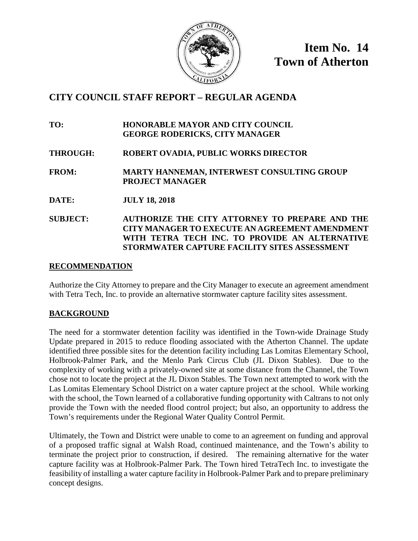

**Item No. 14 Town of Atherton**

# **CITY COUNCIL STAFF REPORT – REGULAR AGENDA**

**TO: HONORABLE MAYOR AND CITY COUNCIL GEORGE RODERICKS, CITY MANAGER**

**THROUGH: ROBERT OVADIA, PUBLIC WORKS DIRECTOR** 

**FROM: MARTY HANNEMAN, INTERWEST CONSULTING GROUP PROJECT MANAGER**

**DATE: JULY 18, 2018**

# **SUBJECT: AUTHORIZE THE CITY ATTORNEY TO PREPARE AND THE CITY MANAGER TO EXECUTE AN AGREEMENT AMENDMENT**  WITH TETRA TECH INC. TO PROVIDE AN ALTERNATIVE **STORMWATER CAPTURE FACILITY SITES ASSESSMENT**

### **RECOMMENDATION**

Authorize the City Attorney to prepare and the City Manager to execute an agreement amendment with Tetra Tech, Inc. to provide an alternative stormwater capture facility sites assessment.

### **BACKGROUND**

The need for a stormwater detention facility was identified in the Town-wide Drainage Study Update prepared in 2015 to reduce flooding associated with the Atherton Channel. The update identified three possible sites for the detention facility including Las Lomitas Elementary School, Holbrook-Palmer Park, and the Menlo Park Circus Club (JL Dixon Stables). Due to the complexity of working with a privately-owned site at some distance from the Channel, the Town chose not to locate the project at the JL Dixon Stables. The Town next attempted to work with the Las Lomitas Elementary School District on a water capture project at the school. While working with the school, the Town learned of a collaborative funding opportunity with Caltrans to not only provide the Town with the needed flood control project; but also, an opportunity to address the Town's requirements under the Regional Water Quality Control Permit.

Ultimately, the Town and District were unable to come to an agreement on funding and approval of a proposed traffic signal at Walsh Road, continued maintenance, and the Town's ability to terminate the project prior to construction, if desired. The remaining alternative for the water capture facility was at Holbrook-Palmer Park. The Town hired TetraTech Inc. to investigate the feasibility of installing a water capture facility in Holbrook-Palmer Park and to prepare preliminary concept designs.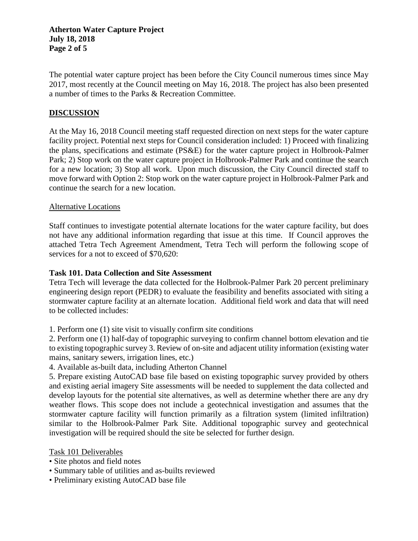### **Atherton Water Capture Project July 18, 2018 Page 2 of 5**

The potential water capture project has been before the City Council numerous times since May 2017, most recently at the Council meeting on May 16, 2018. The project has also been presented a number of times to the Parks & Recreation Committee.

## **DISCUSSION**

At the May 16, 2018 Council meeting staff requested direction on next steps for the water capture facility project. Potential next steps for Council consideration included: 1) Proceed with finalizing the plans, specifications and estimate (PS&E) for the water capture project in Holbrook-Palmer Park; 2) Stop work on the water capture project in Holbrook-Palmer Park and continue the search for a new location; 3) Stop all work. Upon much discussion, the City Council directed staff to move forward with Option 2: Stop work on the water capture project in Holbrook-Palmer Park and continue the search for a new location.

#### Alternative Locations

Staff continues to investigate potential alternate locations for the water capture facility, but does not have any additional information regarding that issue at this time. If Council approves the attached Tetra Tech Agreement Amendment, Tetra Tech will perform the following scope of services for a not to exceed of \$70,620:

### **Task 101. Data Collection and Site Assessment**

Tetra Tech will leverage the data collected for the Holbrook-Palmer Park 20 percent preliminary engineering design report (PEDR) to evaluate the feasibility and benefits associated with siting a stormwater capture facility at an alternate location. Additional field work and data that will need to be collected includes:

1. Perform one (1) site visit to visually confirm site conditions

2. Perform one (1) half-day of topographic surveying to confirm channel bottom elevation and tie to existing topographic survey 3. Review of on-site and adjacent utility information (existing water mains, sanitary sewers, irrigation lines, etc.)

4. Available as-built data, including Atherton Channel

5. Prepare existing AutoCAD base file based on existing topographic survey provided by others and existing aerial imagery Site assessments will be needed to supplement the data collected and develop layouts for the potential site alternatives, as well as determine whether there are any dry weather flows. This scope does not include a geotechnical investigation and assumes that the stormwater capture facility will function primarily as a filtration system (limited infiltration) similar to the Holbrook-Palmer Park Site. Additional topographic survey and geotechnical investigation will be required should the site be selected for further design.

Task 101 Deliverables

- Site photos and field notes
- Summary table of utilities and as-builts reviewed
- Preliminary existing AutoCAD base file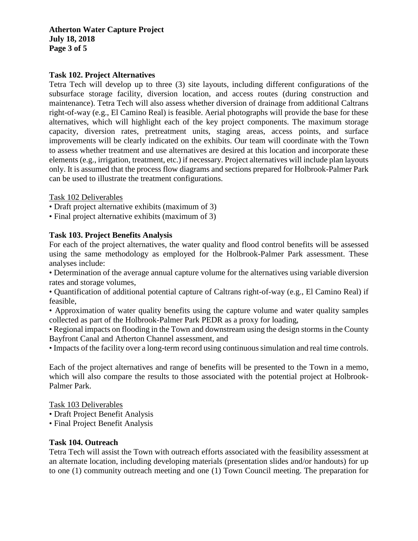**Atherton Water Capture Project July 18, 2018 Page 3 of 5**

### **Task 102. Project Alternatives**

Tetra Tech will develop up to three (3) site layouts, including different configurations of the subsurface storage facility, diversion location, and access routes (during construction and maintenance). Tetra Tech will also assess whether diversion of drainage from additional Caltrans right-of-way (e.g., El Camino Real) is feasible. Aerial photographs will provide the base for these alternatives, which will highlight each of the key project components. The maximum storage capacity, diversion rates, pretreatment units, staging areas, access points, and surface improvements will be clearly indicated on the exhibits. Our team will coordinate with the Town to assess whether treatment and use alternatives are desired at this location and incorporate these elements (e.g., irrigation, treatment, etc.) if necessary. Project alternatives will include plan layouts only. It is assumed that the process flow diagrams and sections prepared for Holbrook-Palmer Park can be used to illustrate the treatment configurations.

Task 102 Deliverables

- Draft project alternative exhibits (maximum of 3)
- Final project alternative exhibits (maximum of 3)

### **Task 103. Project Benefits Analysis**

For each of the project alternatives, the water quality and flood control benefits will be assessed using the same methodology as employed for the Holbrook-Palmer Park assessment. These analyses include:

• Determination of the average annual capture volume for the alternatives using variable diversion rates and storage volumes,

• Quantification of additional potential capture of Caltrans right-of-way (e.g., El Camino Real) if feasible,

• Approximation of water quality benefits using the capture volume and water quality samples collected as part of the Holbrook-Palmer Park PEDR as a proxy for loading,

• Regional impacts on flooding in the Town and downstream using the design storms in the County Bayfront Canal and Atherton Channel assessment, and

• Impacts of the facility over a long-term record using continuous simulation and real time controls.

Each of the project alternatives and range of benefits will be presented to the Town in a memo, which will also compare the results to those associated with the potential project at Holbrook-Palmer Park.

Task 103 Deliverables

- Draft Project Benefit Analysis
- Final Project Benefit Analysis

#### **Task 104. Outreach**

Tetra Tech will assist the Town with outreach efforts associated with the feasibility assessment at an alternate location, including developing materials (presentation slides and/or handouts) for up to one (1) community outreach meeting and one (1) Town Council meeting. The preparation for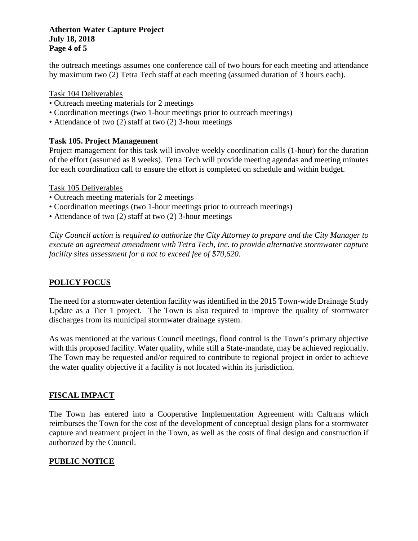### **Atherton Water Capture Project July 18, 2018 Page 4 of 5**

the outreach meetings assumes one conference call of two hours for each meeting and attendance by maximum two (2) Tetra Tech staff at each meeting (assumed duration of 3 hours each).

Task 104 Deliverables

- Outreach meeting materials for 2 meetings
- Coordination meetings (two 1-hour meetings prior to outreach meetings)
- Attendance of two (2) staff at two (2) 3-hour meetings

### **Task 105. Project Management**

Project management for this task will involve weekly coordination calls (1-hour) for the duration of the effort (assumed as 8 weeks). Tetra Tech will provide meeting agendas and meeting minutes for each coordination call to ensure the effort is completed on schedule and within budget.

Task 105 Deliverables

- Outreach meeting materials for 2 meetings
- Coordination meetings (two 1-hour meetings prior to outreach meetings)
- Attendance of two (2) staff at two (2) 3-hour meetings

*City Council action is required to authorize the City Attorney to prepare and the City Manager to execute an agreement amendment with Tetra Tech, Inc. to provide alternative stormwater capture facility sites assessment for a not to exceed fee of \$70,620.*

# **POLICY FOCUS**

The need for a stormwater detention facility was identified in the 2015 Town-wide Drainage Study Update as a Tier 1 project. The Town is also required to improve the quality of stormwater discharges from its municipal stormwater drainage system.

As was mentioned at the various Council meetings, flood control is the Town's primary objective with this proposed facility. Water quality, while still a State-mandate, may be achieved regionally. The Town may be requested and/or required to contribute to regional project in order to achieve the water quality objective if a facility is not located within its jurisdiction.

# **FISCAL IMPACT**

The Town has entered into a Cooperative Implementation Agreement with Caltrans which reimburses the Town for the cost of the development of conceptual design plans for a stormwater capture and treatment project in the Town, as well as the costs of final design and construction if authorized by the Council.

# **PUBLIC NOTICE**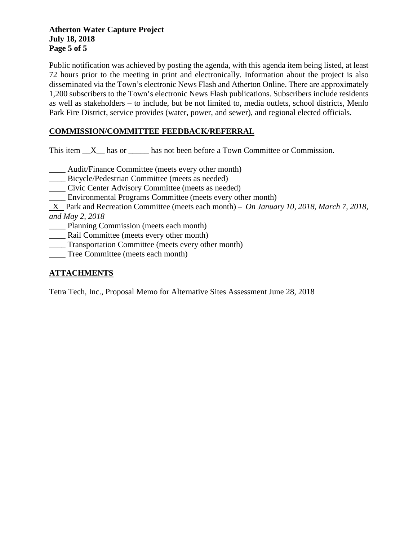### **Atherton Water Capture Project July 18, 2018 Page 5 of 5**

Public notification was achieved by posting the agenda, with this agenda item being listed, at least 72 hours prior to the meeting in print and electronically. Information about the project is also disseminated via the Town's electronic News Flash and Atherton Online. There are approximately 1,200 subscribers to the Town's electronic News Flash publications. Subscribers include residents as well as stakeholders – to include, but be not limited to, media outlets, school districts, Menlo Park Fire District, service provides (water, power, and sewer), and regional elected officials.

# **COMMISSION/COMMITTEE FEEDBACK/REFERRAL**

This item  $X$  has or has not been before a Town Committee or Commission.

- \_\_\_\_ Audit/Finance Committee (meets every other month)
- \_\_\_\_ Bicycle/Pedestrian Committee (meets as needed)
- \_\_\_\_ Civic Center Advisory Committee (meets as needed)
- \_\_\_\_ Environmental Programs Committee (meets every other month)

 X Park and Recreation Committee (meets each month) – *On January 10, 2018, March 7, 2018, and May 2, 2018*

Planning Commission (meets each month)

- \_\_\_\_ Rail Committee (meets every other month)
- \_\_\_\_ Transportation Committee (meets every other month)
- \_\_\_\_ Tree Committee (meets each month)

# **ATTACHMENTS**

Tetra Tech, Inc., Proposal Memo for Alternative Sites Assessment June 28, 2018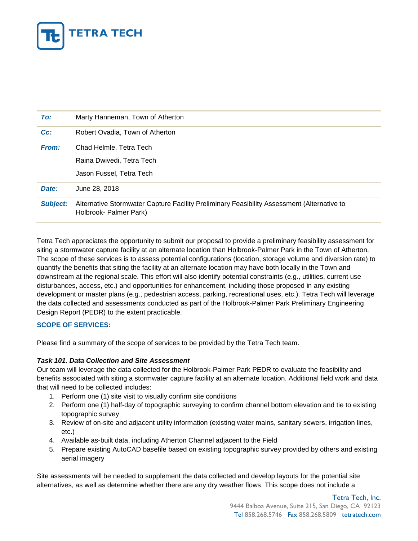

| To:             | Marty Hanneman, Town of Atherton                                                                                     |  |
|-----------------|----------------------------------------------------------------------------------------------------------------------|--|
| $Cc$ :          | Robert Ovadia, Town of Atherton                                                                                      |  |
| From:           | Chad Helmle, Tetra Tech                                                                                              |  |
|                 | Raina Dwivedi, Tetra Tech                                                                                            |  |
|                 | Jason Fussel, Tetra Tech                                                                                             |  |
| Date:           | June 28, 2018                                                                                                        |  |
| <b>Subject:</b> | Alternative Stormwater Capture Facility Preliminary Feasibility Assessment (Alternative to<br>Holbrook- Palmer Park) |  |

Tetra Tech appreciates the opportunity to submit our proposal to provide a preliminary feasibility assessment for siting a stormwater capture facility at an alternate location than Holbrook-Palmer Park in the Town of Atherton. The scope of these services is to assess potential configurations (location, storage volume and diversion rate) to quantify the benefits that siting the facility at an alternate location may have both locally in the Town and downstream at the regional scale. This effort will also identify potential constraints (e.g., utilities, current use disturbances, access, etc.) and opportunities for enhancement, including those proposed in any existing development or master plans (e.g., pedestrian access, parking, recreational uses, etc.). Tetra Tech will leverage the data collected and assessments conducted as part of the Holbrook-Palmer Park Preliminary Engineering Design Report (PEDR) to the extent practicable.

#### **SCOPE OF SERVICES:**

Please find a summary of the scope of services to be provided by the Tetra Tech team.

#### *Task 101. Data Collection and Site Assessment*

Our team will leverage the data collected for the Holbrook-Palmer Park PEDR to evaluate the feasibility and benefits associated with siting a stormwater capture facility at an alternate location. Additional field work and data that will need to be collected includes:

- 1. Perform one (1) site visit to visually confirm site conditions
- 2. Perform one (1) half-day of topographic surveying to confirm channel bottom elevation and tie to existing topographic survey
- 3. Review of on-site and adjacent utility information (existing water mains, sanitary sewers, irrigation lines, etc.)
- 4. Available as-built data, including Atherton Channel adjacent to the Field
- 5. Prepare existing AutoCAD basefile based on existing topographic survey provided by others and existing aerial imagery

Site assessments will be needed to supplement the data collected and develop layouts for the potential site alternatives, as well as determine whether there are any dry weather flows. This scope does not include a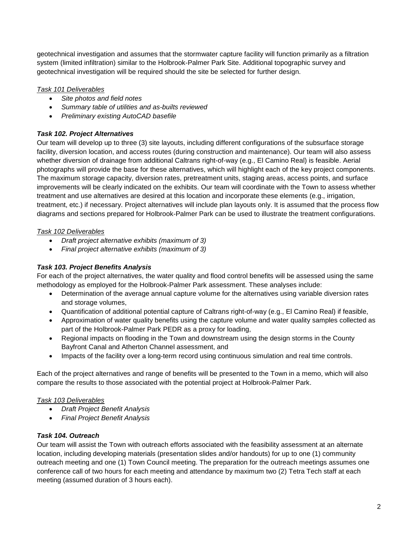geotechnical investigation and assumes that the stormwater capture facility will function primarily as a filtration system (limited infiltration) similar to the Holbrook-Palmer Park Site. Additional topographic survey and geotechnical investigation will be required should the site be selected for further design.

### *Task 101 Deliverables*

- *Site photos and field notes*
- *Summary table of utilities and as-builts reviewed*
- *Preliminary existing AutoCAD basefile*

#### *Task 102. Project Alternatives*

Our team will develop up to three (3) site layouts, including different configurations of the subsurface storage facility, diversion location, and access routes (during construction and maintenance). Our team will also assess whether diversion of drainage from additional Caltrans right-of-way (e.g., El Camino Real) is feasible. Aerial photographs will provide the base for these alternatives, which will highlight each of the key project components. The maximum storage capacity, diversion rates, pretreatment units, staging areas, access points, and surface improvements will be clearly indicated on the exhibits. Our team will coordinate with the Town to assess whether treatment and use alternatives are desired at this location and incorporate these elements (e.g., irrigation, treatment, etc.) if necessary. Project alternatives will include plan layouts only. It is assumed that the process flow diagrams and sections prepared for Holbrook-Palmer Park can be used to illustrate the treatment configurations.

#### *Task 102 Deliverables*

- *Draft project alternative exhibits (maximum of 3)*
- *Final project alternative exhibits (maximum of 3)*

#### *Task 103. Project Benefits Analysis*

For each of the project alternatives, the water quality and flood control benefits will be assessed using the same methodology as employed for the Holbrook-Palmer Park assessment. These analyses include:

- Determination of the average annual capture volume for the alternatives using variable diversion rates and storage volumes,
- Quantification of additional potential capture of Caltrans right-of-way (e.g., El Camino Real) if feasible,
- Approximation of water quality benefits using the capture volume and water quality samples collected as part of the Holbrook-Palmer Park PEDR as a proxy for loading,
- Regional impacts on flooding in the Town and downstream using the design storms in the County Bayfront Canal and Atherton Channel assessment, and
- Impacts of the facility over a long-term record using continuous simulation and real time controls.

Each of the project alternatives and range of benefits will be presented to the Town in a memo, which will also compare the results to those associated with the potential project at Holbrook-Palmer Park.

#### *Task 103 Deliverables*

- *Draft Project Benefit Analysis*
- *Final Project Benefit Analysis*

### *Task 104. Outreach*

Our team will assist the Town with outreach efforts associated with the feasibility assessment at an alternate location, including developing materials (presentation slides and/or handouts) for up to one (1) community outreach meeting and one (1) Town Council meeting. The preparation for the outreach meetings assumes one conference call of two hours for each meeting and attendance by maximum two (2) Tetra Tech staff at each meeting (assumed duration of 3 hours each).